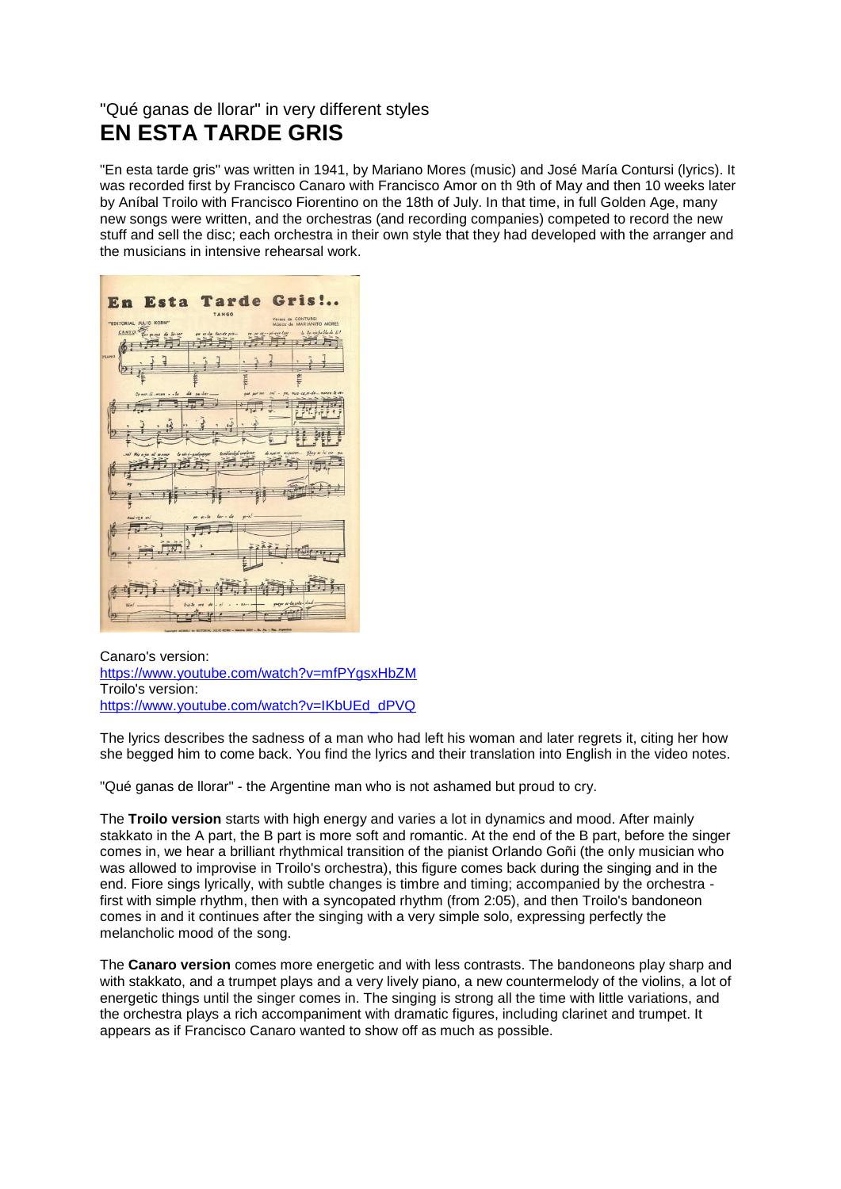## "Qué ganas de llorar" in very different styles **EN ESTA TARDE GRIS**

"En esta tarde gris" was written in 1941, by Mariano Mores (music) and José María Contursi (lyrics). It was recorded first by Francisco Canaro with Francisco Amor on th 9th of May and then 10 weeks later by Aníbal Troilo with Francisco Fiorentino on the 18th of July. In that time, in full Golden Age, many new songs were written, and the orchestras (and recording companies) competed to record the new stuff and sell the disc; each orchestra in their own style that they had developed with the arranger and the musicians in intensive rehearsal work.

| En Esta Tarde Gris!<br>TANGO                                                                          |
|-------------------------------------------------------------------------------------------------------|
| Versos de CONTURSI<br>"EDITORIAL JULIO KORN"<br>Músico de MARIANITO MORES                             |
| · la lla viababla de Li!<br>CANTO.<br>su re-pi-que-tear<br>ennes de llo-res<br>en es-la tar-de gris   |
| PLANO                                                                                                 |
|                                                                                                       |
|                                                                                                       |
| ent - pa, muss-ca,vi-da  munea te<br>de sa ber.<br>Remor-di-mien - - te<br>per ver                    |
| z.                                                                                                    |
|                                                                                                       |
| ghoy es to me<br>temblanded employer<br>di nuovo miguerer<br>Le vio i-qualqueage<br>-rel Mis o jus al |
|                                                                                                       |
| m                                                                                                     |
|                                                                                                       |
| $gris!$ .<br>$ter - de$<br>e <sub>i</sub><br>Vad-ves mi                                               |
|                                                                                                       |
|                                                                                                       |
|                                                                                                       |
|                                                                                                       |
|                                                                                                       |
| queer es-ta sole-dad-<br>$tris 4e$ me<br>Var!<br>$\frac{1}{2}$<br>$ e^{i}$<br>$\mathbf{a}$            |
|                                                                                                       |

Canaro's version: [https://www.youtube.com/watch?v=mfPYgsxHbZM](https://www.youtube.com/watch?v=mfPYgsxHbZM&fbclid=IwAR0af92d1BYaNyxaS6soAHYBXbpBi_9A3UDxxCNCz94F6GR7aVHjgdE8npw) Troilo's version: [https://www.youtube.com/watch?v=IKbUEd\\_dPVQ](https://www.youtube.com/watch?v=IKbUEd_dPVQ&fbclid=IwAR0Hzif-MsWbm5qt1IWXr6G6Nw90N7jxVS1j4j2HcdK94Op-Cl8BHFLRq5Q)

The lyrics describes the sadness of a man who had left his woman and later regrets it, citing her how she begged him to come back. You find the lyrics and their translation into English in the video notes.

"Qué ganas de llorar" - the Argentine man who is not ashamed but proud to cry.

The **Troilo version** starts with high energy and varies a lot in dynamics and mood. After mainly stakkato in the A part, the B part is more soft and romantic. At the end of the B part, before the singer comes in, we hear a brilliant rhythmical transition of the pianist Orlando Goñi (the only musician who was allowed to improvise in Troilo's orchestra), this figure comes back during the singing and in the end. Fiore sings lyrically, with subtle changes is timbre and timing; accompanied by the orchestra first with simple rhythm, then with a syncopated rhythm (from 2:05), and then Troilo's bandoneon comes in and it continues after the singing with a very simple solo, expressing perfectly the melancholic mood of the song.

The **Canaro version** comes more energetic and with less contrasts. The bandoneons play sharp and with stakkato, and a trumpet plays and a very lively piano, a new countermelody of the violins, a lot of energetic things until the singer comes in. The singing is strong all the time with little variations, and the orchestra plays a rich accompaniment with dramatic figures, including clarinet and trumpet. It appears as if Francisco Canaro wanted to show off as much as possible.